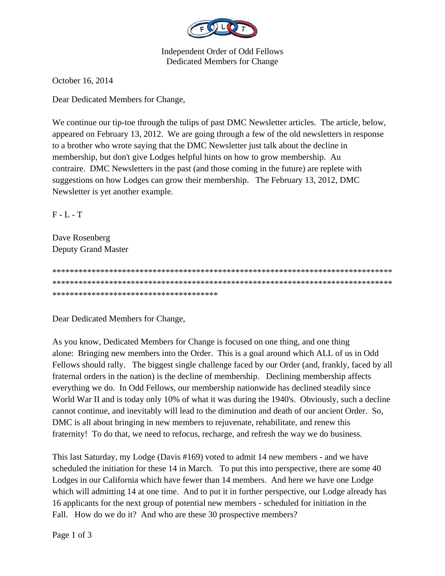

**Independent Order of Odd Fellows** Dedicated Members for Change

October 16, 2014

Dear Dedicated Members for Change,

We continue our tip-toe through the tulips of past DMC Newsletter articles. The article, below, appeared on February 13, 2012. We are going through a few of the old newsletters in response to a brother who wrote saying that the DMC Newsletter just talk about the decline in membership, but don't give Lodges helpful hints on how to grow membership. Au contraire. DMC Newsletters in the past (and those coming in the future) are replete with suggestions on how Lodges can grow their membership. The February 13, 2012, DMC Newsletter is yet another example.

 $F - L - T$ 

Dave Rosenberg **Deputy Grand Master** 

\*\*\*\*\*\*\*\*\*\*\*\*\*\*\*\*\*\*\*\*\*\*\*\*\*\*\*\*\*\*\*\*\*\*\*\*\*\*

Dear Dedicated Members for Change,

As you know, Dedicated Members for Change is focused on one thing, and one thing alone: Bringing new members into the Order. This is a goal around which ALL of us in Odd Fellows should rally. The biggest single challenge faced by our Order (and, frankly, faced by all fraternal orders in the nation) is the decline of membership. Declining membership affects everything we do. In Odd Fellows, our membership nationwide has declined steadily since World War II and is today only 10% of what it was during the 1940's. Obviously, such a decline cannot continue, and inevitably will lead to the diminution and death of our ancient Order. So, DMC is all about bringing in new members to rejuvenate, rehabilitate, and renew this fraternity! To do that, we need to refocus, recharge, and refresh the way we do business.

This last Saturday, my Lodge (Davis #169) voted to admit 14 new members - and we have scheduled the initiation for these 14 in March. To put this into perspective, there are some 40 Lodges in our California which have fewer than 14 members. And here we have one Lodge which will admitting 14 at one time. And to put it in further perspective, our Lodge already has 16 applicants for the next group of potential new members - scheduled for initiation in the Fall. How do we do it? And who are these 30 prospective members?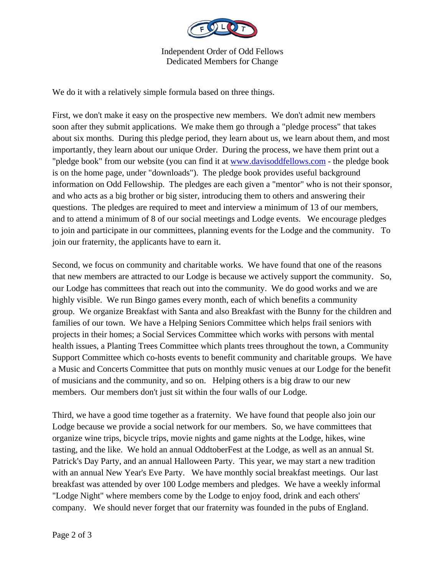

Independent Order of Odd Fellows Dedicated Members for Change

We do it with a relatively simple formula based on three things.

First, we don't make it easy on the prospective new members. We don't admit new members soon after they submit applications. We make them go through a "pledge process" that takes about six months. During this pledge period, they learn about us, we learn about them, and most importantly, they learn about our unique Order. During the process, we have them print out a "pledge book" from our website (you can find it at www.davisoddfellows.com - the pledge book is on the home page, under "downloads"). The pledge book provides useful background information on Odd Fellowship. The pledges are each given a "mentor" who is not their sponsor, and who acts as a big brother or big sister, introducing them to others and answering their questions. The pledges are required to meet and interview a minimum of 13 of our members, and to attend a minimum of 8 of our social meetings and Lodge events. We encourage pledges to join and participate in our committees, planning events for the Lodge and the community. To join our fraternity, the applicants have to earn it.

Second, we focus on community and charitable works. We have found that one of the reasons that new members are attracted to our Lodge is because we actively support the community. So, our Lodge has committees that reach out into the community. We do good works and we are highly visible. We run Bingo games every month, each of which benefits a community group. We organize Breakfast with Santa and also Breakfast with the Bunny for the children and families of our town. We have a Helping Seniors Committee which helps frail seniors with projects in their homes; a Social Services Committee which works with persons with mental health issues, a Planting Trees Committee which plants trees throughout the town, a Community Support Committee which co-hosts events to benefit community and charitable groups. We have a Music and Concerts Committee that puts on monthly music venues at our Lodge for the benefit of musicians and the community, and so on. Helping others is a big draw to our new members. Our members don't just sit within the four walls of our Lodge.

Third, we have a good time together as a fraternity. We have found that people also join our Lodge because we provide a social network for our members. So, we have committees that organize wine trips, bicycle trips, movie nights and game nights at the Lodge, hikes, wine tasting, and the like. We hold an annual OddtoberFest at the Lodge, as well as an annual St. Patrick's Day Party, and an annual Halloween Party. This year, we may start a new tradition with an annual New Year's Eve Party. We have monthly social breakfast meetings. Our last breakfast was attended by over 100 Lodge members and pledges. We have a weekly informal "Lodge Night" where members come by the Lodge to enjoy food, drink and each others' company. We should never forget that our fraternity was founded in the pubs of England.